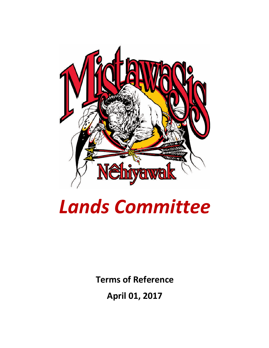

# *Lands Committee*

**Terms of Reference**

**April 01, 2017**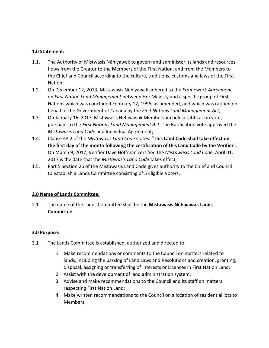### **1.0 Statement:**

- 1.1. The Authority of Mistwasis Nêhiyawak to govern and administer its lands and resources flows from the Creator to the Members of the First Nation, and from the Members to the Chief and Council according to the culture, traditions, customs and laws of the First Nation;
- 1.2. On December 12, 2013, Mistawasis Nêhiyawak adhered to the *Framework Agreement* on *First Nation Land Management* between Her Majesty and a specific group of First Nations which was concluded February 12, 1996, as amended, and which was ratified on behalf of the Government of Canada by the *First Nations Land Management Act*;
- 1.3. On January 16, 2017, Mistawasis Nêhiyawak Membership held a ratification vote, pursuant to the *First Nations Land Management Act*. The Ratification vote approved the *Mistawasis Land Code* and Individual Agreement;
- 1.4. Clause 48.2 of the *Mistawasis Land Code* states: **"This Land Code shall take effect on the first day of the month following the certification of this Land Code by the Verifier"**. On March 9, 2017, Verifier Dave Hoffman certified the *Mistawasis Land Code*. April 01, 2017 is the date that the *Mistawasis Land Code* takes effect;
- 1.5. Part 5 Section 26 of the Mistawasis Land Code gives authority to the Chief and Council to establish a Lands Committee consisting of 5 Eligible Voters.

## **2.0 Name of Lands Committee:**

2.1 The name of the Lands Committee shall be the **Mistawasis Nêhiyawak Lands Committee.**

#### **3.0 Purpose:**

- 3.1 The Lands Committee is established, authorized and directed to:
	- 1. Make recommendations or comments to the Council on matters related to lands, including the passing of Land Laws and Resolutions and creation, granting, disposal, assigning or transferring of Interests or Licences in First Nation Land;
	- 2. Assist with the development of land administration system;
	- 3. Advise and make recommendations to the Council and its staff on matters respecting First Nation Land;
	- 4. Make written recommendations to the Council on allocation of residential lots to Members;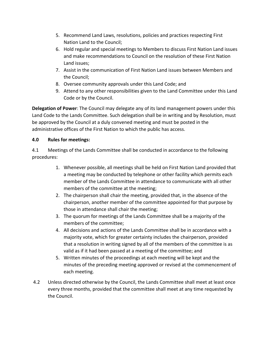- 5. Recommend Land Laws, resolutions, policies and practices respecting First Nation Land to the Council;
- 6. Hold regular and special meetings to Members to discuss First Nation Land issues and make recommendations to Council on the resolution of these First Nation Land issues;
- 7. Assist in the communication of First Nation Land issues between Members and the Council;
- 8. Oversee community approvals under this Land Code; and
- 9. Attend to any other responsibilities given to the Land Committee under this Land Code or by the Council.

**Delegation of Power**: The Council may delegate any of its land management powers under this Land Code to the Lands Committee. Such delegation shall be in writing and by Resolution, must be approved by the Council at a duly convened meeting and must be posted in the administrative offices of the First Nation to which the public has access.

#### **4.0 Rules for meetings:**

4.1 Meetings of the Lands Committee shall be conducted in accordance to the following procedures:

- 1. Whenever possible, all meetings shall be held on First Nation Land provided that a meeting may be conducted by telephone or other facility which permits each member of the Lands Committee in attendance to communicate with all other members of the committee at the meeting;
- 2. The chairperson shall chair the meeting, provided that, in the absence of the chairperson, another member of the committee appointed for that purpose by those in attendance shall chair the meeting;
- 3. The quorum for meetings of the Lands Committee shall be a majority of the members of the committee;
- 4. All decisions and actions of the Lands Committee shall be in accordance with a majority vote, which for greater certainty includes the chairperson, provided that a resolution in writing signed by all of the members of the committee is as valid as if it had been passed at a meeting of the committee; and
- 5. Written minutes of the proceedings at each meeting will be kept and the minutes of the preceding meeting approved or revised at the commencement of each meeting.
- 4.2 Unless directed otherwise by the Council, the Lands Committee shall meet at least once every three months, provided that the committee shall meet at any time requested by the Council.